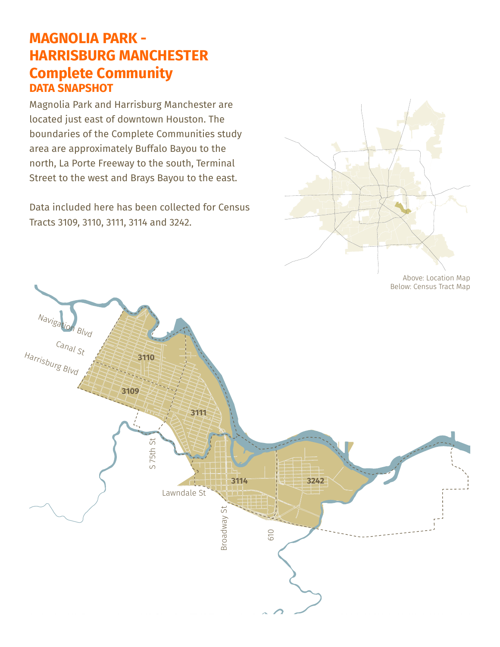## **MAGNOLIA PARK - HARRISBURG MANCHESTER Complete Community DATA SNAPSHOT**

Magnolia Park and Harrisburg Manchester are located just east of downtown Houston. The boundaries of the Complete Communities study area are approximately Buffalo Bayou to the north, La Porte Freeway to the south, Terminal Street to the west and Brays Bayou to the east.

Data included here has been collected for Census Tracts 3109, 3110, 3111, 3114 and 3242.



Above: Location Map Below: Census Tract Map